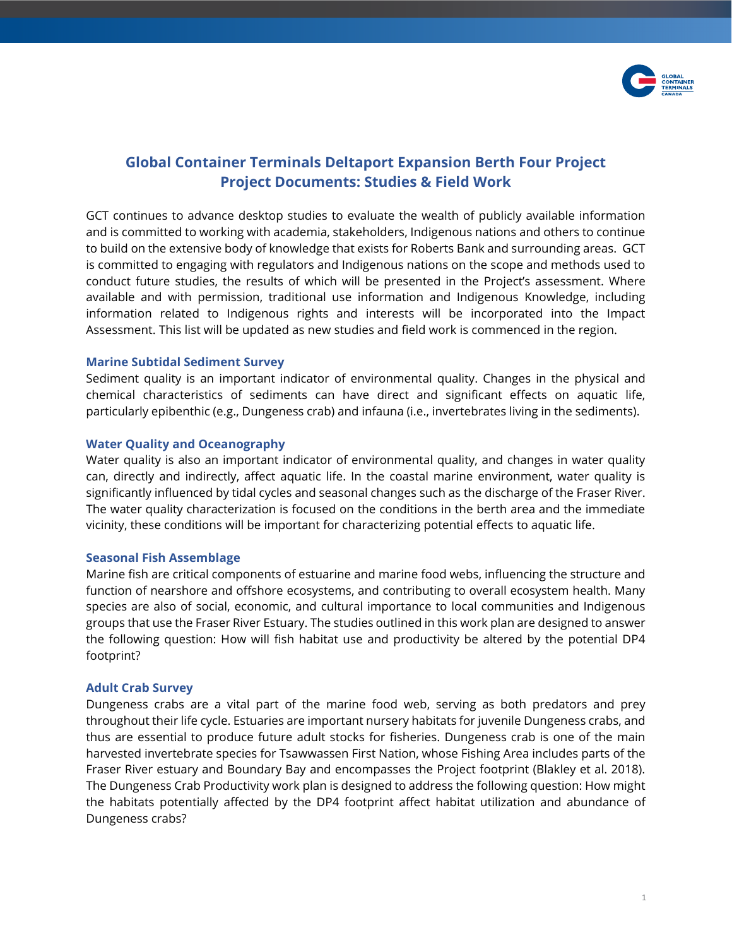

# **Global Container Terminals Deltaport Expansion Berth Four Project Project Documents: Studies & Field Work**

GCT continues to advance desktop studies to evaluate the wealth of publicly available information and is committed to working with academia, stakeholders, Indigenous nations and others to continue to build on the extensive body of knowledge that exists for Roberts Bank and surrounding areas. GCT is committed to engaging with regulators and Indigenous nations on the scope and methods used to conduct future studies, the results of which will be presented in the Project's assessment. Where available and with permission, traditional use information and Indigenous Knowledge, including information related to Indigenous rights and interests will be incorporated into the Impact Assessment. This list will be updated as new studies and field work is commenced in the region.

# **Marine Subtidal Sediment Survey**

Sediment quality is an important indicator of environmental quality. Changes in the physical and chemical characteristics of sediments can have direct and significant effects on aquatic life, particularly epibenthic (e.g., Dungeness crab) and infauna (i.e., invertebrates living in the sediments).

# **Water Quality and Oceanography**

Water quality is also an important indicator of environmental quality, and changes in water quality can, directly and indirectly, affect aquatic life. In the coastal marine environment, water quality is significantly influenced by tidal cycles and seasonal changes such as the discharge of the Fraser River. The water quality characterization is focused on the conditions in the berth area and the immediate vicinity, these conditions will be important for characterizing potential effects to aquatic life.

# **Seasonal Fish Assemblage**

Marine fish are critical components of estuarine and marine food webs, influencing the structure and function of nearshore and offshore ecosystems, and contributing to overall ecosystem health. Many species are also of social, economic, and cultural importance to local communities and Indigenous groups that use the Fraser River Estuary. The studies outlined in this work plan are designed to answer the following question: How will fish habitat use and productivity be altered by the potential DP4 footprint?

# **Adult Crab Survey**

Dungeness crabs are a vital part of the marine food web, serving as both predators and prey throughout their life cycle. Estuaries are important nursery habitats for juvenile Dungeness crabs, and thus are essential to produce future adult stocks for fisheries. Dungeness crab is one of the main harvested invertebrate species for Tsawwassen First Nation, whose Fishing Area includes parts of the Fraser River estuary and Boundary Bay and encompasses the Project footprint (Blakley et al. 2018). The Dungeness Crab Productivity work plan is designed to address the following question: How might the habitats potentially affected by the DP4 footprint affect habitat utilization and abundance of Dungeness crabs?